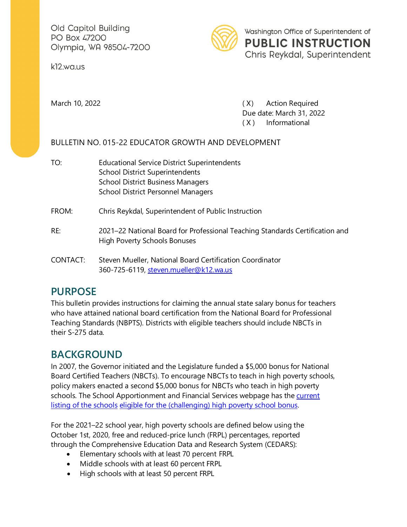Old Capitol Building PO Box 47200 Olympia, WA 98504-7200

k12.wa.us



March 10, 2022 **March 10, 2022 (X)** Action Required Due date: March 31, 2022 ( X ) Informational

#### BULLETIN NO. 015-22 EDUCATOR GROWTH AND DEVELOPMENT

TO: Educational Service District Superintendents School District Superintendents School District Business Managers School District Personnel Managers FROM: Chris Reykdal, Superintendent of Public Instruction RE: 2021–22 National Board for Professional Teaching Standards Certification and High Poverty Schools Bonuses CONTACT: Steven Mueller, National Board Certification Coordinator 360-725-6119, [steven.mueller@k12.wa.us](mailto:steven.mueller@k12.wa.us)

## **PURPOSE**

This bulletin provides instructions for claiming the annual state salary bonus for teachers who have attained national board certification from the National Board for Professional Teaching Standards (NBPTS). Districts with eligible teachers should include NBCTs in their S-275 data.

# **BACKGROUND**

In 2007, the Governor initiated and the Legislature funded a \$5,000 bonus for National Board Certified Teachers (NBCTs). To encourage NBCTs to teach in high poverty schools, policy makers enacted a second \$5,000 bonus for NBCTs who teach in high poverty schools. The School Apportionment and Financial Services webpage has the [current](http://www.k12.wa.us/SAFS/default.asp)  [listing of the schools](http://www.k12.wa.us/SAFS/default.asp) [eligible for the \(challenging\) high poverty school bonus.](http://www.k12.wa.us/SAFS/default.asp)

For the 2021–22 school year, high poverty schools are defined below using the October 1st, 2020, free and reduced-price lunch (FRPL) percentages, reported through the Comprehensive Education Data and Research System (CEDARS):

- Elementary schools with at least 70 percent FRPL
- Middle schools with at least 60 percent FRPL
- High schools with at least 50 percent FRPL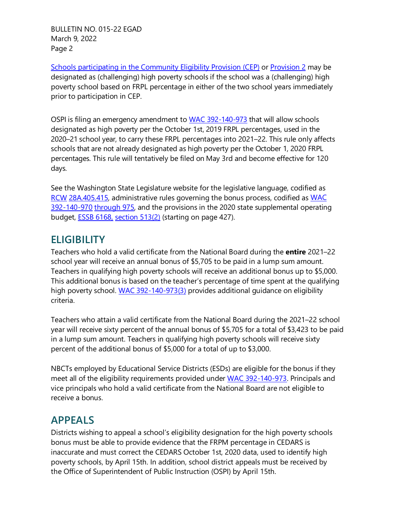BULLETIN NO. 015-22 EGAD March 9, 2022 Page 2

[Schools participating in the Community Eligibility Provision \(CEP\)](https://www.k12.wa.us/sites/default/files/public/childnutrition/programs/nslbp/pubdocs/2021-22SchoolsOperatingCEP.xlsx) or [Provision 2](https://www.k12.wa.us/sites/default/files/public/childnutrition/programs/nslbp/pubdocs/currentwastateprov2schools.xlsx) may be designated as (challenging) high poverty schools if the school was a (challenging) high poverty school based on FRPL percentage in either of the two school years immediately prior to participation in CEP.

OSPI is filing an emergency amendment to [WAC 392-140-973](http://apps.leg.wa.gov/WAC/default.aspx?cite=392-140-973) that will allow schools designated as high poverty per the October 1st, 2019 FRPL percentages, used in the 2020–21 school year, to carry these FRPL percentages into 2021–22. This rule only affects schools that are not already designated as high poverty per the October 1, 2020 FRPL percentages. This rule will tentatively be filed on May 3rd and become effective for 120 days.

See the Washington State Legislature website for the legislative language, codified as [RCW](http://apps.leg.wa.gov/RCW/default.aspx?cite=28A.405.415) [28A.405.415, a](http://apps.leg.wa.gov/RCW/default.aspx?cite=28A.405.415)dministrative rules governing the bonus process, codified as [WAC](http://apps.leg.wa.gov/WAC/default.aspx?cite=392-140-970)  [392-140-970](http://apps.leg.wa.gov/WAC/default.aspx?cite=392-140-970) [through 975, a](http://apps.leg.wa.gov/WAC/default.aspx?cite=392-140-970)nd the provisions in the 2020 state supplemental operating budget, [ESSB 6168,](http://leap.leg.wa.gov/leap/Budget/Detail/2020/6168-S.SL.pdf) [section 513\(2\)](http://leap.leg.wa.gov/leap/budget/lbns/1921Omni1109-S.SL.pdf) (starting on page 427).

#### **ELIGIBILITY**

Teachers who hold a valid certificate from the National Board during the **entire** 2021–22 school year will receive an annual bonus of \$5,705 to be paid in a lump sum amount. Teachers in qualifying high poverty schools will receive an additional bonus up to \$5,000. This additional bonus is based on the teacher's percentage of time spent at the qualifying high poverty school. [WAC 392-140-973\(3\)](http://apps.leg.wa.gov/WAC/default.aspx?cite=392-140-973) provides additional guidance on eligibility criteria.

Teachers who attain a valid certificate from the National Board during the 2021–22 school year will receive sixty percent of the annual bonus of \$5,705 for a total of \$3,423 to be paid in a lump sum amount. Teachers in qualifying high poverty schools will receive sixty percent of the additional bonus of \$5,000 for a total of up to \$3,000.

NBCTs employed by Educational Service Districts (ESDs) are eligible for the bonus if they meet all of the eligibility requirements provided under [WAC 392-140-973. Pr](http://apps.leg.wa.gov/WAC/default.aspx?cite=392-140-973)incipals and vice principals who hold a valid certificate from the National Board are not eligible to receive a bonus.

## **APPEALS**

Districts wishing to appeal a school's eligibility designation for the high poverty schools bonus must be able to provide evidence that the FRPM percentage in CEDARS is inaccurate and must correct the CEDARS October 1st, 2020 data, used to identify high poverty schools, by April 15th. In addition, school district appeals must be received by the Office of Superintendent of Public Instruction (OSPI) by April 15th.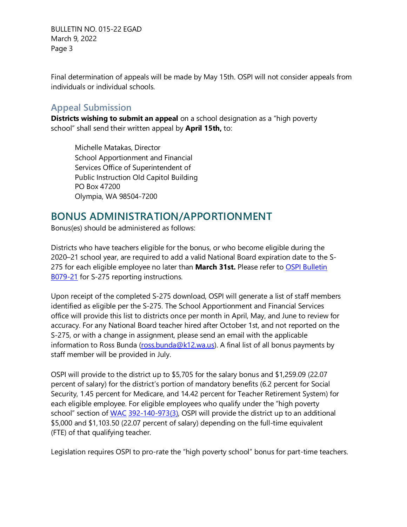BULLETIN NO. 015-22 EGAD March 9, 2022 Page 3

Final determination of appeals will be made by May 15th. OSPI will not consider appeals from individuals or individual schools.

#### **Appeal Submission**

**Districts wishing to submit an appeal** on a school designation as a "high poverty school" shall send their written appeal by **April 15th,** to:

Michelle Matakas, Director School Apportionment and Financial Services Office of Superintendent of Public Instruction Old Capitol Building PO Box 47200 Olympia, WA 98504-7200

## **BONUS ADMINISTRATION/APPORTIONMENT**

Bonus(es) should be administered as follows:

Districts who have teachers eligible for the bonus, or who become eligible during the 2020–21 school year, are required to add a valid National Board expiration date to the S-275 for each eligible employee no later than **March 31st.** Please refer t[o OSPI Bulletin](https://www.k12.wa.us/sites/default/files/public/bulletinsmemos/bulletins2021/B079-21.pdf)  [B079-21](https://www.k12.wa.us/sites/default/files/public/bulletinsmemos/bulletins2021/B079-21.pdf) for S-275 reporting instructions.

Upon receipt of the completed S-275 download, OSPI will generate a list of staff members identified as eligible per the S-275. The School Apportionment and Financial Services office will provide this list to districts once per month in April, May, and June to review for accuracy. For any National Board teacher hired after October 1st, and not reported on the S-275, or with a change in assignment, please send an email with the applicable information to Ross Bunda [\(ross.bunda@k12.wa.us\)](mailto:ross.bunda@k12.wa.us). A final list of all bonus payments by staff member will be provided in July.

OSPI will provide to the district up to \$5,705 for the salary bonus and \$1,259.09 (22.07 percent of salary) for the district's portion of mandatory benefits (6.2 percent for Social Security, 1.45 percent for Medicare, and 14.42 percent for Teacher Retirement System) for each eligible employee. For eligible employees who qualify under the "high poverty school" section of [WAC](http://apps.leg.wa.gov/WAC/default.aspx?cite=392-140-973) [392-140-973\(3\), O](http://apps.leg.wa.gov/WAC/default.aspx?cite=392-140-973)SPI will provide the district up to an additional \$5,000 and \$1,103.50 (22.07 percent of salary) depending on the full-time equivalent (FTE) of that qualifying teacher.

Legislation requires OSPI to pro-rate the "high poverty school" bonus for part-time teachers.